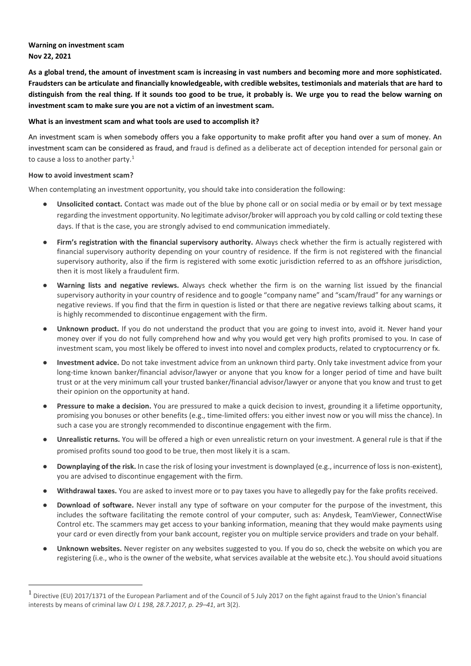# **Warning on investment scam Nov 22, 2021**

**As a global trend, the amount of investment scam is increasing in vast numbers and becoming more and more sophisticated. Fraudsters can be articulate and financially knowledgeable, with credible websites, testimonials and materials that are hard to distinguish from the real thing. If it sounds too good to be true, it probably is. We urge you to read the below warning on investment scam to make sure you are not a victim of an investment scam.** 

### **What is an investment scam and what tools are used to accomplish it?**

An investment scam is when somebody offers you a fake opportunity to make profit after you hand over a sum of money. An investment scam can be considered as fraud, and fraud is defined as a deliberate act of deception intended for personal gain or to cause a loss to another party. $1$ 

#### **How to avoid investment scam?**

When contemplating an investment opportunity, you should take into consideration the following:

- Unsolicited contact. Contact was made out of the blue by phone call or on social media or by email or by text message regarding the investment opportunity. No legitimate advisor/broker will approach you by cold calling or cold texting these days. If that is the case, you are strongly advised to end communication immediately.
- **Firm's registration with the financial supervisory authority.** Always check whether the firm is actually registered with financial supervisory authority depending on your country of residence. If the firm is not registered with the financial supervisory authority, also if the firm is registered with some exotic jurisdiction referred to as an offshore jurisdiction, then it is most likely a fraudulent firm.
- Warning lists and negative reviews. Always check whether the firm is on the warning list issued by the financial supervisory authority in your country of residence and to google "company name" and "scam/fraud" for any warnings or negative reviews. If you find that the firm in question is listed or that there are negative reviews talking about scams, it is highly recommended to discontinue engagement with the firm.
- Unknown product. If you do not understand the product that you are going to invest into, avoid it. Never hand your money over if you do not fully comprehend how and why you would get very high profits promised to you. In case of investment scam, you most likely be offered to invest into novel and complex products, related to cryptocurrency or fx.
- **Investment advice.** Do not take investment advice from an unknown third party. Only take investment advice from your long-time known banker/financial advisor/lawyer or anyone that you know for a longer period of time and have built trust or at the very minimum call your trusted banker/financial advisor/lawyer or anyone that you know and trust to get their opinion on the opportunity at hand.
- **Pressure to make a decision.** You are pressured to make a quick decision to invest, grounding it a lifetime opportunity, promising you bonuses or other benefits (e.g., time-limited offers: you either invest now or you will miss the chance). In such a case you are strongly recommended to discontinue engagement with the firm.
- **Unrealistic returns.** You will be offered a high or even unrealistic return on your investment. A general rule is that if the promised profits sound too good to be true, then most likely it is a scam.
- **Downplaying of the risk.** In case the risk of losing your investment is downplayed (e.g., incurrence of loss is non-existent), you are advised to discontinue engagement with the firm.
- Withdrawal taxes. You are asked to invest more or to pay taxes you have to allegedly pay for the fake profits received.
- **Download of software.** Never install any type of software on your computer for the purpose of the investment, this includes the software facilitating the remote control of your computer, such as: Anydesk, TeamViewer, ConnectWise Control etc. The scammers may get access to your banking information, meaning that they would make payments using your card or even directly from your bank account, register you on multiple service providers and trade on your behalf.
- Unknown websites. Never register on any websites suggested to you. If you do so, check the website on which you are registering (i.e., who is the owner of the website, what services available at the website etc.). You should avoid situations

<sup>1</sup> Directive (EU) 2017/1371 of the European Parliament and of the Council of 5 July 2017 on the fight against fraud to the Union's financial interests by means of criminal law *OJ L 198, 28.7.2017, p. 29–41*, art 3(2).